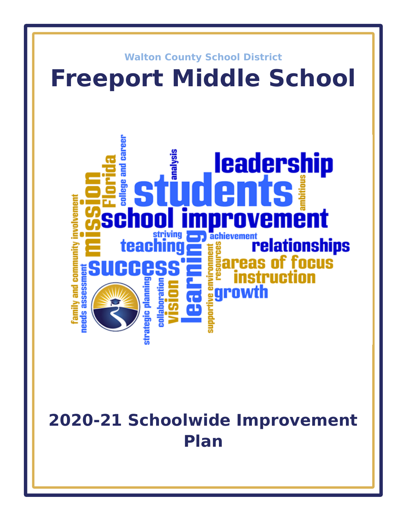

# **2020-21 Schoolwide Improvement Plan**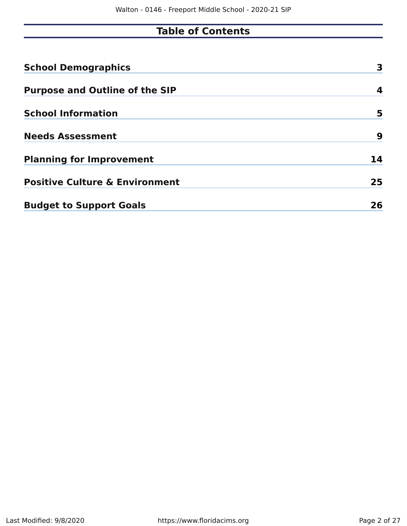## **Table of Contents**

| <b>School Demographics</b>                | 3  |
|-------------------------------------------|----|
| <b>Purpose and Outline of the SIP</b>     | 4  |
| <b>School Information</b>                 | 5  |
| <b>Needs Assessment</b>                   | 9  |
| <b>Planning for Improvement</b>           | 14 |
| <b>Positive Culture &amp; Environment</b> | 25 |
| <b>Budget to Support Goals</b>            | 26 |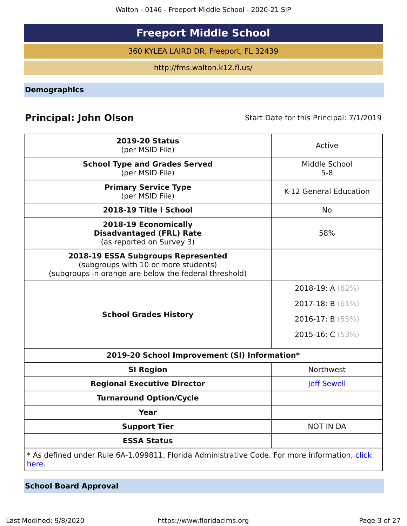Walton - 0146 - Freeport Middle School - 2020-21 SIP

## **Freeport Middle School**

360 KYLEA LAIRD DR, Freeport, FL 32439

http://fms.walton.k12.fl.us/

<span id="page-2-0"></span>**Demographics**

## **Principal: John Olson** Start Date for this Principal: 7/1/2019

| <b>2019-20 Status</b><br>(per MSID File)                                                                                            | Active                   |
|-------------------------------------------------------------------------------------------------------------------------------------|--------------------------|
| <b>School Type and Grades Served</b><br>(per MSID File)                                                                             | Middle School<br>$5 - 8$ |
| <b>Primary Service Type</b><br>(per MSID File)                                                                                      | K-12 General Education   |
| 2018-19 Title I School                                                                                                              | <b>No</b>                |
| 2018-19 Economically<br><b>Disadvantaged (FRL) Rate</b><br>(as reported on Survey 3)                                                | 58%                      |
| 2018-19 ESSA Subgroups Represented<br>(subgroups with 10 or more students)<br>(subgroups in orange are below the federal threshold) |                          |
|                                                                                                                                     | 2018-19: A $(62\%)$      |
|                                                                                                                                     | 2017-18: $B(61\%)$       |
| <b>School Grades History</b>                                                                                                        | 2016-17: B $(55%)$       |
|                                                                                                                                     | 2015-16: C (53%)         |
| 2019-20 School Improvement (SI) Information*                                                                                        |                          |
| <b>SI Region</b>                                                                                                                    | Northwest                |
| <b>Regional Executive Director</b>                                                                                                  | <b>Jeff Sewell</b>       |
| <b>Turnaround Option/Cycle</b>                                                                                                      |                          |
| Year                                                                                                                                |                          |
| <b>Support Tier</b>                                                                                                                 | <b>NOT IN DA</b>         |
| <b>ESSA Status</b>                                                                                                                  |                          |
| * As defined under Rule 6A-1.099811, Florida Administrative Code. For more information, click<br>here.                              |                          |

**School Board Approval**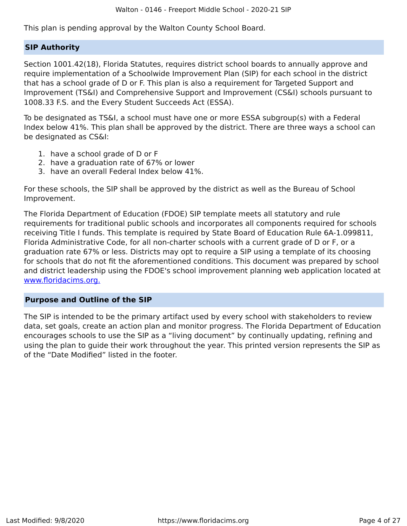This plan is pending approval by the Walton County School Board.

#### **SIP Authority**

Section 1001.42(18), Florida Statutes, requires district school boards to annually approve and require implementation of a Schoolwide Improvement Plan (SIP) for each school in the district that has a school grade of D or F. This plan is also a requirement for Targeted Support and Improvement (TS&I) and Comprehensive Support and Improvement (CS&I) schools pursuant to 1008.33 F.S. and the Every Student Succeeds Act (ESSA).

To be designated as TS&I, a school must have one or more ESSA subgroup(s) with a Federal Index below 41%. This plan shall be approved by the district. There are three ways a school can be designated as CS&I:

- 1. have a school grade of D or F
- 2. have a graduation rate of 67% or lower
- 3. have an overall Federal Index below 41%.

For these schools, the SIP shall be approved by the district as well as the Bureau of School Improvement.

The Florida Department of Education (FDOE) SIP template meets all statutory and rule requirements for traditional public schools and incorporates all components required for schools receiving Title I funds. This template is required by State Board of Education Rule 6A-1.099811, Florida Administrative Code, for all non-charter schools with a current grade of D or F, or a graduation rate 67% or less. Districts may opt to require a SIP using a template of its choosing for schools that do not fit the aforementioned conditions. This document was prepared by school and district leadership using the FDOE's school improvement planning web application located at [www.floridacims.org.](https://www.floridacims.org)

#### <span id="page-3-0"></span>**Purpose and Outline of the SIP**

The SIP is intended to be the primary artifact used by every school with stakeholders to review data, set goals, create an action plan and monitor progress. The Florida Department of Education encourages schools to use the SIP as a "living document" by continually updating, refining and using the plan to guide their work throughout the year. This printed version represents the SIP as of the "Date Modified" listed in the footer.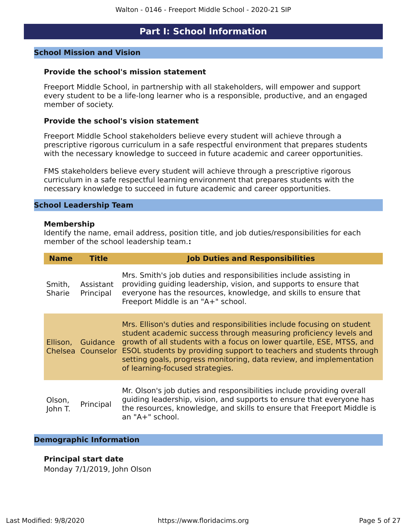#### **Part I: School Information**

#### <span id="page-4-0"></span>**School Mission and Vision**

#### **Provide the school's mission statement**

Freeport Middle School, in partnership with all stakeholders, will empower and support every student to be a life-long learner who is a responsible, productive, and an engaged member of society.

#### **Provide the school's vision statement**

Freeport Middle School stakeholders believe every student will achieve through a prescriptive rigorous curriculum in a safe respectful environment that prepares students with the necessary knowledge to succeed in future academic and career opportunities.

FMS stakeholders believe every student will achieve through a prescriptive rigorous curriculum in a safe respectful learning environment that prepares students with the necessary knowledge to succeed in future academic and career opportunities.

#### **School Leadership Team**

#### **Membership**

Identify the name, email address, position title, and job duties/responsibilities for each member of the school leadership team.**:**

| <b>Name</b>       | <b>Title</b>                  | <b>Job Duties and Responsibilities</b>                                                                                                                                                                                                                                                                                                                                                                |
|-------------------|-------------------------------|-------------------------------------------------------------------------------------------------------------------------------------------------------------------------------------------------------------------------------------------------------------------------------------------------------------------------------------------------------------------------------------------------------|
| Smith,<br>Sharie  | Assistant<br>Principal        | Mrs. Smith's job duties and responsibilities include assisting in<br>providing guiding leadership, vision, and supports to ensure that<br>everyone has the resources, knowledge, and skills to ensure that<br>Freeport Middle is an "A+" school.                                                                                                                                                      |
| Ellison,          | Guidance<br>Chelsea Counselor | Mrs. Ellison's duties and responsibilities include focusing on student<br>student academic success through measuring proficiency levels and<br>growth of all students with a focus on lower quartile, ESE, MTSS, and<br>ESOL students by providing support to teachers and students through<br>setting goals, progress monitoring, data review, and implementation<br>of learning-focused strategies. |
| Olson,<br>John T. | Principal                     | Mr. Olson's job duties and responsibilities include providing overall<br>guiding leadership, vision, and supports to ensure that everyone has<br>the resources, knowledge, and skills to ensure that Freeport Middle is<br>an "A+" school.                                                                                                                                                            |

#### **Demographic Information**

#### **Principal start date**

Monday 7/1/2019, John Olson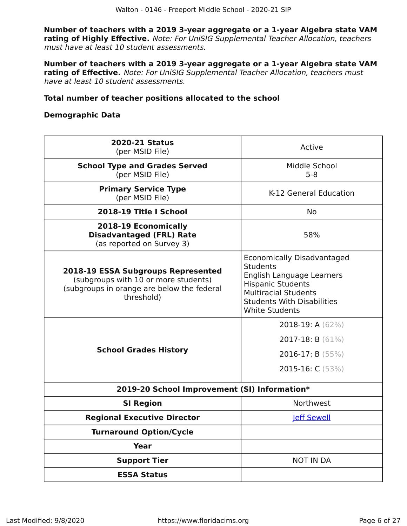**Number of teachers with a 2019 3-year aggregate or a 1-year Algebra state VAM rating of Highly Effective.** Note: For UniSIG Supplemental Teacher Allocation, teachers must have at least 10 student assessments.

**Number of teachers with a 2019 3-year aggregate or a 1-year Algebra state VAM rating of Effective.** Note: For UniSIG Supplemental Teacher Allocation, teachers must have at least 10 student assessments.

#### **Total number of teacher positions allocated to the school**

#### **Demographic Data**

| <b>2020-21 Status</b><br>(per MSID File)                                                                                               | Active                                                                                                                                                                                                     |
|----------------------------------------------------------------------------------------------------------------------------------------|------------------------------------------------------------------------------------------------------------------------------------------------------------------------------------------------------------|
| <b>School Type and Grades Served</b><br>(per MSID File)                                                                                | Middle School<br>$5 - 8$                                                                                                                                                                                   |
| <b>Primary Service Type</b><br>(per MSID File)                                                                                         | K-12 General Education                                                                                                                                                                                     |
| 2018-19 Title I School                                                                                                                 | No.                                                                                                                                                                                                        |
| 2018-19 Economically<br><b>Disadvantaged (FRL) Rate</b><br>(as reported on Survey 3)                                                   | 58%                                                                                                                                                                                                        |
| 2018-19 ESSA Subgroups Represented<br>(subgroups with 10 or more students)<br>(subgroups in orange are below the federal<br>threshold) | <b>Economically Disadvantaged</b><br><b>Students</b><br>English Language Learners<br><b>Hispanic Students</b><br><b>Multiracial Students</b><br><b>Students With Disabilities</b><br><b>White Students</b> |
| <b>School Grades History</b>                                                                                                           | 2018-19: A $(62\%)$<br>2017-18: B (61%)<br>2016-17: B (55%)<br>2015-16: C (53%)                                                                                                                            |
| 2019-20 School Improvement (SI) Information*                                                                                           |                                                                                                                                                                                                            |
| <b>SI Region</b>                                                                                                                       | Northwest                                                                                                                                                                                                  |
| <b>Regional Executive Director</b>                                                                                                     | <b>leff Sewell</b>                                                                                                                                                                                         |
| <b>Turnaround Option/Cycle</b>                                                                                                         |                                                                                                                                                                                                            |
| Year                                                                                                                                   |                                                                                                                                                                                                            |
| <b>Support Tier</b>                                                                                                                    | <b>NOT IN DA</b>                                                                                                                                                                                           |
| <b>ESSA Status</b>                                                                                                                     |                                                                                                                                                                                                            |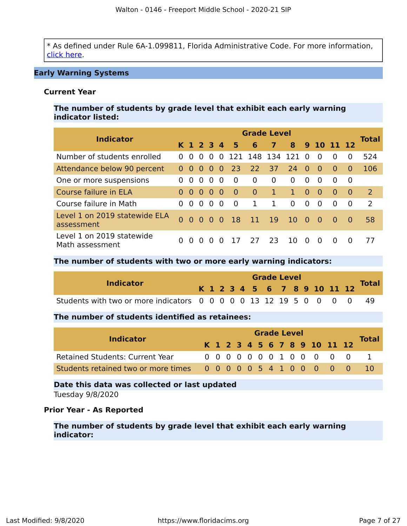\* As defined under Rule 6A-1.099811, Florida Administrative Code. For more information, [click here](https://www.flrules.org/gateway/ruleNo.asp?id=6A-1.099811).

#### **Early Warning Systems**

#### **Current Year**

**The number of students by grade level that exhibit each early warning indicator listed:**

| <b>Indicator</b>                             | <b>Grade Level</b> |                |           |                   |          |               |                 |                 |          |          |            |          |          |              |  |
|----------------------------------------------|--------------------|----------------|-----------|-------------------|----------|---------------|-----------------|-----------------|----------|----------|------------|----------|----------|--------------|--|
|                                              |                    |                |           | K 1 2 3 4         |          | 5             | 6               | $\overline{ }$  | 8        |          | 9 10 11 12 |          |          | <b>Total</b> |  |
| Number of students enrolled                  | $\Omega$           | $\Omega$       | $\Omega$  | $\Omega$          | $\Omega$ | 121           | 148 134 121     |                 |          | $\Omega$ | $\Omega$   | $\Omega$ | 0        | 524          |  |
| Attendance below 90 percent                  |                    | 0 <sub>0</sub> | $\Omega$  | $\bullet$         | - 0      | 23            | 22              | 37 <sup>2</sup> | 24       | 0        | - 0        | $\Omega$ | $\Omega$ | 106          |  |
| One or more suspensions                      | $\Omega$           | $\Omega$       | $\Omega$  | $\Omega$          | - 0      | $\Omega$      | $\Omega$        | $\Omega$        | $\Omega$ | $\Omega$ | $\Omega$   | $\Omega$ | $\Omega$ |              |  |
| Course failure in ELA                        | $\Omega$           | $\Omega$       | $\bullet$ | 0 O               |          | $\Omega$      | $\overline{0}$  | $\mathbf{1}$    | 1.       | $\Omega$ | $\bullet$  | $\Omega$ | $\Omega$ | <sup>2</sup> |  |
| Course failure in Math                       | $\Omega$           | $\Omega$       | $\Omega$  | $\Omega$          | - 0      | $\Omega$      | 1               | 1               | $\Omega$ | $\Omega$ | $\Omega$   | $\Omega$ | 0        | 2            |  |
| Level 1 on 2019 statewide ELA<br>assessment  |                    | - 0            |           | $0\quad 0\quad 0$ |          | <sup>18</sup> | $\overline{11}$ | 19              | 10       | $\sim 0$ | $\bullet$  | - 0      | $\Omega$ | 58           |  |
| Level 1 on 2019 statewide<br>Math assessment | 0                  | $\Omega$       | $\Omega$  |                   | O        | 17            | 27              | -23.            | 10.      | $\Omega$ | $\Omega$   |          |          | 77           |  |

#### **The number of students with two or more early warning indicators:**

| <b>Indicator</b>                                                     |  |  |  |  | <b>Grade Level</b> |  |  |                              |              |
|----------------------------------------------------------------------|--|--|--|--|--------------------|--|--|------------------------------|--------------|
|                                                                      |  |  |  |  |                    |  |  | K 1 2 3 4 5 6 7 8 9 10 11 12 | <b>Total</b> |
| Students with two or more indicators 0 0 0 0 0 13 12 19 5 0 0 0 0 49 |  |  |  |  |                    |  |  |                              |              |

#### **The number of students identified as retainees:**

| <b>Indicator</b>                                                |  |  |  |  | <b>Grade Level</b> |  |                              |              |
|-----------------------------------------------------------------|--|--|--|--|--------------------|--|------------------------------|--------------|
|                                                                 |  |  |  |  |                    |  | K 1 2 3 4 5 6 7 8 9 10 11 12 | <b>Total</b> |
| <b>Retained Students: Current Year</b>                          |  |  |  |  |                    |  | 0 0 0 0 0 0 0 1 0 0 0 0 0    |              |
| Students retained two or more times 0 0 0 0 0 5 4 1 0 0 0 0 0 0 |  |  |  |  |                    |  |                              |              |

## **Date this data was collected or last updated**

Tuesday 9/8/2020

#### **Prior Year - As Reported**

**The number of students by grade level that exhibit each early warning indicator:**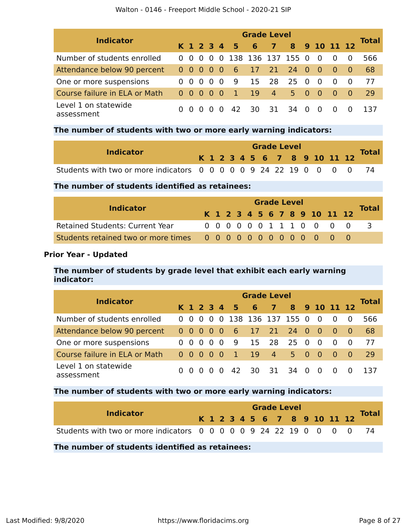|  |  | Walton - 0146 - Freeport Middle School - 2020-21 SIP |  |  |  |  |
|--|--|------------------------------------------------------|--|--|--|--|
|--|--|------------------------------------------------------|--|--|--|--|

|                                    | <b>Grade Level</b> |           |          |                   |     |              |                   |                          |         |          |              |             |     |              |  |
|------------------------------------|--------------------|-----------|----------|-------------------|-----|--------------|-------------------|--------------------------|---------|----------|--------------|-------------|-----|--------------|--|
| <b>Indicator</b>                   |                    |           |          |                   |     | K 1 2 3 4 5  | 6                 | $\overline{\phantom{a}}$ |         |          | 8 9 10 11 12 |             |     | <b>Total</b> |  |
| Number of students enrolled        | 0 <sub>0</sub>     |           |          | $0\quad 0\quad 0$ |     |              | 138 136 137 155 0 |                          |         |          | - 0          |             |     | 566          |  |
| Attendance below 90 percent        |                    | 0 0 0 0 0 |          |                   |     | - 6          | 17 21 24 0        |                          |         |          | - O          | $\bullet$ 0 | - 0 | 68           |  |
| One or more suspensions            | 0 <sub>0</sub>     |           | $\Omega$ | $\Omega$          | - 0 | - 9          | 15                | 28                       | 25      | - 0      | - 0          |             |     | 77           |  |
| Course failure in ELA or Math      |                    | 00000     |          |                   |     | $\mathbf{1}$ | <sup>19</sup>     | $-4$                     | 5.      | $\sim 0$ | - 0          | - റ         | - 0 | 29           |  |
| Level 1 on statewide<br>assessment |                    | 0 O       | -0       | $\Omega$          | - 0 | 42           | 30                |                          | 31 34 0 |          | - 0          |             |     | 137          |  |

#### **The number of students with two or more early warning indicators:**

| <b>Indicator</b>                                                    |  |  |  |  | <b>Grade Level</b> |  |  |                              | <b>Total</b> |
|---------------------------------------------------------------------|--|--|--|--|--------------------|--|--|------------------------------|--------------|
|                                                                     |  |  |  |  |                    |  |  | K 1 2 3 4 5 6 7 8 9 10 11 12 |              |
| Students with two or more indicators 0 0 0 0 0 9 24 22 19 0 0 0 0 0 |  |  |  |  |                    |  |  |                              |              |

#### **The number of students identified as retainees:**

| <b>Indicator</b>                       |  | <b>Grade Level</b> |  |  |  |  |  |  |  |  |                              |  |              |  |  |
|----------------------------------------|--|--------------------|--|--|--|--|--|--|--|--|------------------------------|--|--------------|--|--|
|                                        |  |                    |  |  |  |  |  |  |  |  | K 1 2 3 4 5 6 7 8 9 10 11 12 |  | <b>Total</b> |  |  |
| <b>Retained Students: Current Year</b> |  |                    |  |  |  |  |  |  |  |  | 0000001110000                |  |              |  |  |
|                                        |  |                    |  |  |  |  |  |  |  |  |                              |  |              |  |  |

#### **Prior Year - Updated**

#### **The number of students by grade level that exhibit each early warning indicator:**

| <b>Indicator</b>                   | <b>Grade Level</b> |                   |          |                                     |  |             |                       |      |         |     |                |          |          |              |  |
|------------------------------------|--------------------|-------------------|----------|-------------------------------------|--|-------------|-----------------------|------|---------|-----|----------------|----------|----------|--------------|--|
|                                    |                    |                   |          |                                     |  | K 1 2 3 4 5 | 6 <sub>7</sub>        |      |         |     | 8 9 10 11 12   |          |          | <b>Total</b> |  |
| Number of students enrolled        |                    | 0 <sub>0</sub>    | - 0      |                                     |  |             | 0 0 138 136 137 155 0 |      |         |     | $\overline{0}$ | - 0      | $\Omega$ | 566          |  |
| Attendance below 90 percent        | 00000              |                   |          |                                     |  | - 6         | 17 21 24 0            |      |         |     | - 0            | - 0      | - റ      | 68           |  |
| One or more suspensions            |                    | 0 O               | - 0      | $\Omega$                            |  | 9           | 15                    | 28   | 25      | - 0 | - 0            | $\Omega$ | $\Omega$ | 77           |  |
| Course failure in ELA or Math      |                    | $0\quad 0\quad 0$ |          | $\begin{matrix} 0 & 0 \end{matrix}$ |  | -1.         | <b>19</b>             | $-4$ | 5 0     |     | - 0            | - 0      | - 0      | 29           |  |
| Level 1 on statewide<br>assessment | $\Omega$           | $\Omega$          | $\Omega$ | n n                                 |  | 42          | 30.                   |      | 31 34 0 |     | - റ            | $\Omega$ | $\Omega$ |              |  |

#### **The number of students with two or more early warning indicators:**

| <b>Indicator</b>                                                    |  | <b>Grade Level</b> |  |  |  |  |  |  |  |  |                              | <b>Total</b> |  |
|---------------------------------------------------------------------|--|--------------------|--|--|--|--|--|--|--|--|------------------------------|--------------|--|
|                                                                     |  |                    |  |  |  |  |  |  |  |  | K 1 2 3 4 5 6 7 8 9 10 11 12 |              |  |
| Students with two or more indicators 0 0 0 0 0 9 24 22 19 0 0 0 0 0 |  |                    |  |  |  |  |  |  |  |  |                              |              |  |

#### **The number of students identified as retainees:**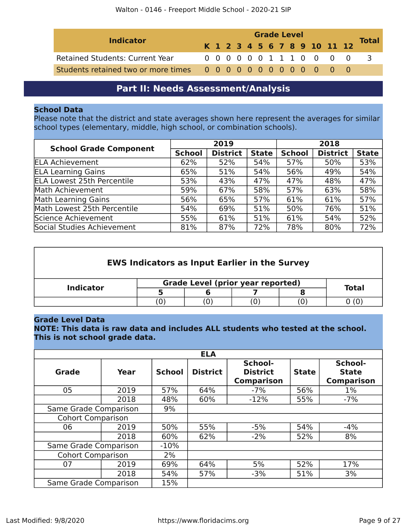|                                 | <b>Grade Level</b> |  |  |  |  |  |  |  |  |  |                              |              |
|---------------------------------|--------------------|--|--|--|--|--|--|--|--|--|------------------------------|--------------|
| <b>Indicator</b>                |                    |  |  |  |  |  |  |  |  |  | K 1 2 3 4 5 6 7 8 9 10 11 12 | <b>Total</b> |
| Retained Students: Current Year |                    |  |  |  |  |  |  |  |  |  | 0000001110000                |              |
|                                 |                    |  |  |  |  |  |  |  |  |  |                              |              |

## **Part II: Needs Assessment/Analysis**

#### <span id="page-8-0"></span>**School Data**

Please note that the district and state averages shown here represent the averages for similar school types (elementary, middle, high school, or combination schools).

| <b>School Grade Component</b>     |               | 2019            |              | 2018          |                 |              |  |
|-----------------------------------|---------------|-----------------|--------------|---------------|-----------------|--------------|--|
|                                   | <b>School</b> | <b>District</b> | <b>State</b> | <b>School</b> | <b>District</b> | <b>State</b> |  |
| <b>ELA Achievement</b>            | 62%           | 52%             | 54%          | 57%           | 50%             | 53%          |  |
| <b>ELA Learning Gains</b>         | 65%           | 51%             | 54%          | 56%           | 49%             | 54%          |  |
| <b>ELA Lowest 25th Percentile</b> | 53%           | 43%             | 47%          | 47%           | 48%             | 47%          |  |
| Math Achievement                  | 59%           | 67%             | 58%          | 57%           | 63%             | 58%          |  |
| <b>Math Learning Gains</b>        | 56%           | 65%             | 57%          | 61%           | 61%             | 57%          |  |
| Math Lowest 25th Percentile       | 54%           | 69%             | 51%          | 50%           | 76%             | 51%          |  |
| Science Achievement               | 55%           | 61%             | 51%          | 61%           | 54%             | 52%          |  |
| Social Studies Achievement        | 81%           | 87%             | 72%          | 78%           | 80%             | 72%          |  |

| <b>EWS Indicators as Input Earlier in the Survey</b> |  |  |  |                                          |  |  |  |  |  |  |
|------------------------------------------------------|--|--|--|------------------------------------------|--|--|--|--|--|--|
|                                                      |  |  |  | <b>Total</b>                             |  |  |  |  |  |  |
|                                                      |  |  |  |                                          |  |  |  |  |  |  |
| 0 (0)<br>O                                           |  |  |  |                                          |  |  |  |  |  |  |
|                                                      |  |  |  | <b>Grade Level (prior year reported)</b> |  |  |  |  |  |  |

#### **Grade Level Data**

**NOTE: This data is raw data and includes ALL students who tested at the school. This is not school grade data.**

|                          |      |               | <b>ELA</b>      |                                                 |              |                                              |
|--------------------------|------|---------------|-----------------|-------------------------------------------------|--------------|----------------------------------------------|
| <b>Grade</b>             | Year | <b>School</b> | <b>District</b> | School-<br><b>District</b><br><b>Comparison</b> | <b>State</b> | School-<br><b>State</b><br><b>Comparison</b> |
| 05                       | 2019 | 57%           | 64%             | $-7%$                                           | 56%          | $1\%$                                        |
| 2018                     |      | 48%           | 60%             | $-12%$                                          | 55%          | $-7%$                                        |
| Same Grade Comparison    | 9%   |               |                 |                                                 |              |                                              |
| <b>Cohort Comparison</b> |      |               |                 |                                                 |              |                                              |
| 06                       | 2019 | 50%           | 55%             | $-5%$                                           | 54%          | $-4%$                                        |
|                          | 2018 | 60%           | 62%             | $-2%$                                           | 52%          | 8%                                           |
| Same Grade Comparison    |      | $-10%$        |                 |                                                 |              |                                              |
| <b>Cohort Comparison</b> |      | 2%            |                 |                                                 |              |                                              |
| 07                       | 2019 | 69%           | 64%             | 5%                                              | 52%          | 17%                                          |
| 2018                     |      | 54%           | 57%             | $-3%$                                           | 51%          | 3%                                           |
| Same Grade Comparison    |      | 15%           |                 |                                                 |              |                                              |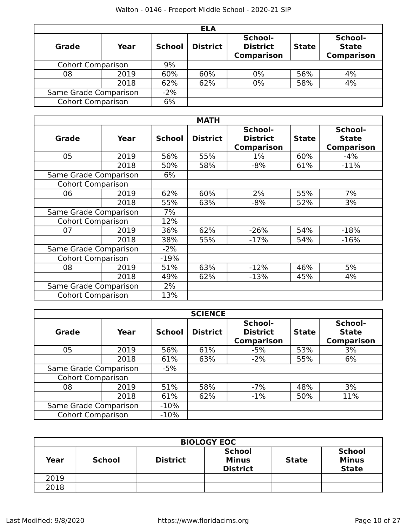|                          |       |               | <b>ELA</b>      |                                                 |              |                                              |
|--------------------------|-------|---------------|-----------------|-------------------------------------------------|--------------|----------------------------------------------|
| Grade                    | Year  | <b>School</b> | <b>District</b> | School-<br><b>District</b><br><b>Comparison</b> | <b>State</b> | School-<br><b>State</b><br><b>Comparison</b> |
| <b>Cohort Comparison</b> |       | 9%            |                 |                                                 |              |                                              |
| 08                       | 2019  | 60%           | 60%             | 0%                                              | 56%          | 4%                                           |
|                          | 2018  | 62%           | 62%             | 0%                                              | 58%          | 4%                                           |
| Same Grade Comparison    | $-2%$ |               |                 |                                                 |              |                                              |
| <b>Cohort Comparison</b> | 6%    |               |                 |                                                 |              |                                              |

| <b>MATH</b>              |                       |               |                 |                                                 |              |                                              |  |  |  |  |  |  |
|--------------------------|-----------------------|---------------|-----------------|-------------------------------------------------|--------------|----------------------------------------------|--|--|--|--|--|--|
| <b>Grade</b>             | Year                  | <b>School</b> | <b>District</b> | School-<br><b>District</b><br><b>Comparison</b> | <b>State</b> | School-<br><b>State</b><br><b>Comparison</b> |  |  |  |  |  |  |
| 05                       | 2019                  | 56%           | 55%             | $1\%$                                           | 60%          | $-4%$                                        |  |  |  |  |  |  |
|                          | 2018                  | 50%           | 58%             | $-8%$                                           | 61%          | $-11%$                                       |  |  |  |  |  |  |
| Same Grade Comparison    |                       | 6%            |                 |                                                 |              |                                              |  |  |  |  |  |  |
| <b>Cohort Comparison</b> |                       |               |                 |                                                 |              |                                              |  |  |  |  |  |  |
| 06                       | 2019                  | 62%           | 60%             | 2%                                              | 55%          | 7%                                           |  |  |  |  |  |  |
|                          | 2018                  | 55%           | 63%             | $-8%$                                           | 52%          | 3%                                           |  |  |  |  |  |  |
|                          | Same Grade Comparison |               |                 |                                                 |              |                                              |  |  |  |  |  |  |
| <b>Cohort Comparison</b> |                       | 12%           |                 |                                                 |              |                                              |  |  |  |  |  |  |
| 07                       | 2019                  | 36%           | 62%             | $-26%$                                          | 54%          | $-18%$                                       |  |  |  |  |  |  |
|                          | 2018                  | 38%           | 55%             | $-17%$                                          | 54%          | $-16%$                                       |  |  |  |  |  |  |
| Same Grade Comparison    |                       | $-2%$         |                 |                                                 |              |                                              |  |  |  |  |  |  |
| <b>Cohort Comparison</b> |                       | $-19%$        |                 |                                                 |              |                                              |  |  |  |  |  |  |
| 08                       | 2019                  | 51%           | 63%             | $-12%$                                          | 46%          | 5%                                           |  |  |  |  |  |  |
|                          | 2018                  | 49%           | 62%             | $-13%$                                          | 45%          | 4%                                           |  |  |  |  |  |  |
| Same Grade Comparison    |                       | 2%            |                 |                                                 |              |                                              |  |  |  |  |  |  |
| <b>Cohort Comparison</b> |                       | 13%           |                 |                                                 |              |                                              |  |  |  |  |  |  |

|                          | <b>SCIENCE</b> |               |                 |                                                 |              |                                              |  |  |  |  |  |  |
|--------------------------|----------------|---------------|-----------------|-------------------------------------------------|--------------|----------------------------------------------|--|--|--|--|--|--|
| Grade                    | Year           | <b>School</b> | <b>District</b> | School-<br><b>District</b><br><b>Comparison</b> | <b>State</b> | School-<br><b>State</b><br><b>Comparison</b> |  |  |  |  |  |  |
| 05                       | 2019           | 56%           | 61%             | $-5%$                                           | 53%          | 3%                                           |  |  |  |  |  |  |
|                          | 2018           | 61%           | 63%             | $-2%$                                           | 55%          | 6%                                           |  |  |  |  |  |  |
| Same Grade Comparison    |                | $-5%$         |                 |                                                 |              |                                              |  |  |  |  |  |  |
| <b>Cohort Comparison</b> |                |               |                 |                                                 |              |                                              |  |  |  |  |  |  |
| 08                       | 2019           | 51%           | 58%             | $-7%$                                           | 48%          | 3%                                           |  |  |  |  |  |  |
|                          | 2018           | 61%           | 62%             | $-1%$                                           | 50%          | 11%                                          |  |  |  |  |  |  |
| Same Grade Comparison    | $-10%$         |               |                 |                                                 |              |                                              |  |  |  |  |  |  |
| <b>Cohort Comparison</b> | $-10%$         |               |                 |                                                 |              |                                              |  |  |  |  |  |  |

|      | <b>BIOLOGY EOC</b> |                 |                                                  |              |                                               |  |  |  |  |  |  |
|------|--------------------|-----------------|--------------------------------------------------|--------------|-----------------------------------------------|--|--|--|--|--|--|
| Year | <b>School</b>      | <b>District</b> | <b>School</b><br><b>Minus</b><br><b>District</b> | <b>State</b> | <b>School</b><br><b>Minus</b><br><b>State</b> |  |  |  |  |  |  |
| 2019 |                    |                 |                                                  |              |                                               |  |  |  |  |  |  |
| 2018 |                    |                 |                                                  |              |                                               |  |  |  |  |  |  |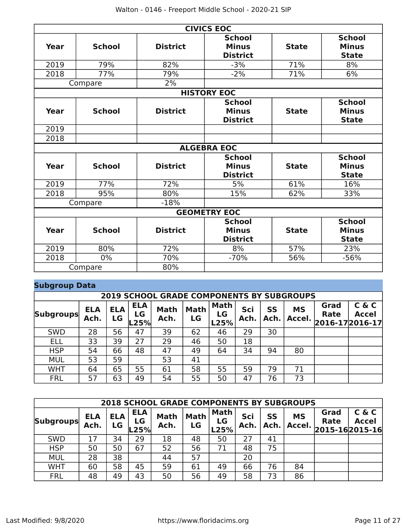|      |               |                 | <b>CIVICS EOC</b>                                |              |                                               |  |  |  |  |
|------|---------------|-----------------|--------------------------------------------------|--------------|-----------------------------------------------|--|--|--|--|
| Year | <b>School</b> | <b>District</b> | <b>School</b><br><b>Minus</b><br><b>District</b> | <b>State</b> | <b>School</b><br><b>Minus</b><br><b>State</b> |  |  |  |  |
| 2019 | 79%           | 82%             | $-3%$                                            | 71%          | 8%                                            |  |  |  |  |
| 2018 | 77%           | 79%             | $-2%$                                            | 71%          | 6%                                            |  |  |  |  |
|      | Compare       | 2%              |                                                  |              |                                               |  |  |  |  |
|      |               |                 | <b>HISTORY EOC</b>                               |              |                                               |  |  |  |  |
| Year | <b>School</b> | <b>District</b> | <b>School</b><br><b>Minus</b><br><b>District</b> | <b>State</b> | <b>School</b><br><b>Minus</b><br><b>State</b> |  |  |  |  |
| 2019 |               |                 |                                                  |              |                                               |  |  |  |  |
| 2018 |               |                 |                                                  |              |                                               |  |  |  |  |
|      |               |                 | <b>ALGEBRA EOC</b>                               |              |                                               |  |  |  |  |
| Year | <b>School</b> | <b>District</b> | <b>School</b><br><b>Minus</b><br><b>District</b> | <b>State</b> | <b>School</b><br><b>Minus</b><br><b>State</b> |  |  |  |  |
| 2019 | 77%           | 72%             | 5%                                               | 61%          | 16%                                           |  |  |  |  |
| 2018 | 95%           | 80%             | 15%                                              | 62%          | 33%                                           |  |  |  |  |
|      | Compare       | $-18%$          |                                                  |              |                                               |  |  |  |  |
|      |               |                 | <b>GEOMETRY EOC</b>                              |              |                                               |  |  |  |  |
| Year | <b>School</b> | <b>District</b> | <b>School</b><br><b>Minus</b><br><b>District</b> | <b>State</b> | <b>School</b><br><b>Minus</b><br><b>State</b> |  |  |  |  |
| 2019 | 80%           | 72%             | 8%                                               | 57%          | 23%                                           |  |  |  |  |
| 2018 | $0\%$         | 70%             | $-70%$                                           | 56%          | $-56%$                                        |  |  |  |  |
|      | Compare       | 80%             |                                                  |              |                                               |  |  |  |  |

### **Subgroup Data**

| <b>2019 SCHOOL GRADE COMPONENTS BY SUBGROUPS</b> |                    |                  |                          |                     |                   |                           |             |                   |                     |                                        |                       |
|--------------------------------------------------|--------------------|------------------|--------------------------|---------------------|-------------------|---------------------------|-------------|-------------------|---------------------|----------------------------------------|-----------------------|
| <b>Subgroups</b>                                 | <b>ELA</b><br>Ach. | <b>ELA</b><br>LG | <b>ELA</b><br>LG<br>L25% | <b>Math</b><br>Ach. | <b>Math</b><br>LG | <b>Math</b><br>LG<br>L25% | Sci<br>Ach. | <b>SS</b><br>Ach. | <b>MS</b><br>Accel. | Grad<br><b>Rate</b><br>2016-17 2016-17 | C & C<br><b>Accel</b> |
| <b>SWD</b>                                       | 28                 | 56               | 47                       | 39                  | 62                | 46                        | 29          | 30                |                     |                                        |                       |
| ELL                                              | 33                 | 39               | 27                       | 29                  | 46                | 50                        | 18          |                   |                     |                                        |                       |
| <b>HSP</b>                                       | 54                 | 66               | 48                       | 47                  | 49                | 64                        | 34          | 94                | 80                  |                                        |                       |
| <b>MUL</b>                                       | 53                 | 59               |                          | 53                  | 41                |                           |             |                   |                     |                                        |                       |
| <b>WHT</b>                                       | 64                 | 65               | 55                       | 61                  | 58                | 55                        | 59          | 79                | 71                  |                                        |                       |
| <b>FRL</b>                                       | 57                 | 63               | 49                       | 54                  | 55                | 50                        | 47          | 76                | 73                  |                                        |                       |

|                  | <b>2018 SCHOOL GRADE COMPONENTS BY SUBGROUPS</b> |                  |                          |                     |                   |                           |             |            |                     |                                      |                       |  |
|------------------|--------------------------------------------------|------------------|--------------------------|---------------------|-------------------|---------------------------|-------------|------------|---------------------|--------------------------------------|-----------------------|--|
| <b>Subgroups</b> | <b>ELA</b><br>Ach.                               | <b>ELA</b><br>LG | <b>ELA</b><br>LG<br>-25% | <b>Math</b><br>Ach. | <b>Math</b><br>LG | <b>Math</b><br>LG<br>L25% | Sci<br>Ach. | SS<br>Ach. | <b>MS</b><br>Accel. | Grad<br>Rate<br>$2015 - 162015 - 16$ | C & C<br><b>Accel</b> |  |
| <b>SWD</b>       | 17                                               | 34               | 29                       | 18                  | 48                | 50                        | 27          | 41         |                     |                                      |                       |  |
| <b>HSP</b>       | 50                                               | 50               | 67                       | 52                  | 56                | 71                        | 48          | 75         |                     |                                      |                       |  |
| <b>MUL</b>       | 28                                               | 38               |                          | 44                  | 57                |                           | 20          |            |                     |                                      |                       |  |
| <b>WHT</b>       | 60                                               | 58               | 45                       | 59                  | 61                | 49                        | 66          | 76         | 84                  |                                      |                       |  |
| <b>FRL</b>       | 48                                               | 49               | 43                       | 50                  | 56                | 49                        | 58          | 73         | 86                  |                                      |                       |  |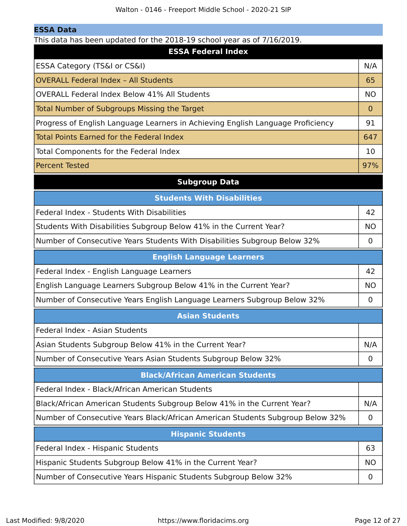This data has been updated for the 2018-19 school year as of 7/16/2019.

| add not been apaded for the $\pm 0.20$ sense. Jean as only $\pm 0.20$<br><b>ESSA Federal Index</b> |             |
|----------------------------------------------------------------------------------------------------|-------------|
| ESSA Category (TS&I or CS&I)                                                                       | N/A         |
| <b>OVERALL Federal Index - All Students</b>                                                        | 65          |
| OVERALL Federal Index Below 41% All Students                                                       | <b>NO</b>   |
| <b>Total Number of Subgroups Missing the Target</b>                                                | $\mathbf 0$ |
| Progress of English Language Learners in Achieving English Language Proficiency                    | 91          |
| <b>Total Points Earned for the Federal Index</b>                                                   | 647         |
| Total Components for the Federal Index                                                             | 10          |
| <b>Percent Tested</b>                                                                              | 97%         |
| <b>Subgroup Data</b>                                                                               |             |
| <b>Students With Disabilities</b>                                                                  |             |
| <b>Federal Index - Students With Disabilities</b>                                                  | 42          |
| Students With Disabilities Subgroup Below 41% in the Current Year?                                 | <b>NO</b>   |
| Number of Consecutive Years Students With Disabilities Subgroup Below 32%                          | $\mathbf 0$ |
| <b>English Language Learners</b>                                                                   |             |
| Federal Index - English Language Learners                                                          | 42          |
| English Language Learners Subgroup Below 41% in the Current Year?                                  | <b>NO</b>   |
| Number of Consecutive Years English Language Learners Subgroup Below 32%                           | 0           |
| <b>Asian Students</b>                                                                              |             |
| Federal Index - Asian Students                                                                     |             |
| Asian Students Subgroup Below 41% in the Current Year?                                             | N/A         |
| Number of Consecutive Years Asian Students Subgroup Below 32%                                      | 0           |
| <b>Black/African American Students</b>                                                             |             |
| Federal Index - Black/African American Students                                                    |             |
| Black/African American Students Subgroup Below 41% in the Current Year?                            | N/A         |
| Number of Consecutive Years Black/African American Students Subgroup Below 32%                     | 0           |
| <b>Hispanic Students</b>                                                                           |             |
| Federal Index - Hispanic Students                                                                  | 63          |
| Hispanic Students Subgroup Below 41% in the Current Year?                                          | <b>NO</b>   |
| Number of Consecutive Years Hispanic Students Subgroup Below 32%                                   | 0           |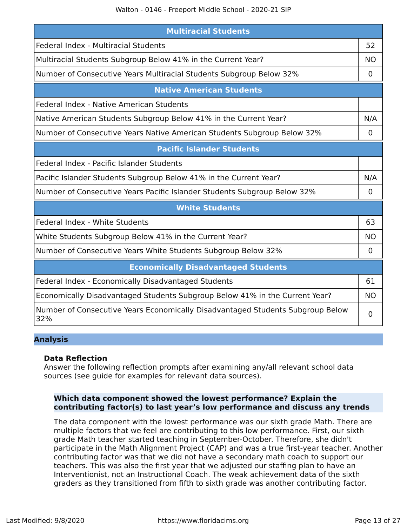| <b>Multiracial Students</b>                                                           |                |  |
|---------------------------------------------------------------------------------------|----------------|--|
| Federal Index - Multiracial Students                                                  | 52             |  |
| Multiracial Students Subgroup Below 41% in the Current Year?                          | <b>NO</b>      |  |
| Number of Consecutive Years Multiracial Students Subgroup Below 32%                   | 0              |  |
| <b>Native American Students</b>                                                       |                |  |
| Federal Index - Native American Students                                              |                |  |
| Native American Students Subgroup Below 41% in the Current Year?                      | N/A            |  |
| Number of Consecutive Years Native American Students Subgroup Below 32%               | 0              |  |
| <b>Pacific Islander Students</b>                                                      |                |  |
| Federal Index - Pacific Islander Students                                             |                |  |
| Pacific Islander Students Subgroup Below 41% in the Current Year?                     | N/A            |  |
| Number of Consecutive Years Pacific Islander Students Subgroup Below 32%              | $\overline{0}$ |  |
| <b>White Students</b>                                                                 |                |  |
| Federal Index - White Students                                                        | 63             |  |
| White Students Subgroup Below 41% in the Current Year?                                | <b>NO</b>      |  |
| Number of Consecutive Years White Students Subgroup Below 32%                         | 0              |  |
| <b>Economically Disadvantaged Students</b>                                            |                |  |
| Federal Index - Economically Disadvantaged Students                                   | 61             |  |
| Economically Disadvantaged Students Subgroup Below 41% in the Current Year?           | <b>NO</b>      |  |
| Number of Consecutive Years Economically Disadvantaged Students Subgroup Below<br>32% | 0              |  |

#### **Analysis**

#### **Data Reflection**

Answer the following reflection prompts after examining any/all relevant school data sources (see guide for examples for relevant data sources).

#### **Which data component showed the lowest performance? Explain the contributing factor(s) to last year's low performance and discuss any trends**

The data component with the lowest performance was our sixth grade Math. There are multiple factors that we feel are contributing to this low performance. First, our sixth grade Math teacher started teaching in September-October. Therefore, she didn't participate in the Math Alignment Project (CAP) and was a true first-year teacher. Another contributing factor was that we did not have a secondary math coach to support our teachers. This was also the first year that we adjusted our staffing plan to have an Interventionist, not an Instructional Coach. The weak achievement data of the sixth graders as they transitioned from fifth to sixth grade was another contributing factor.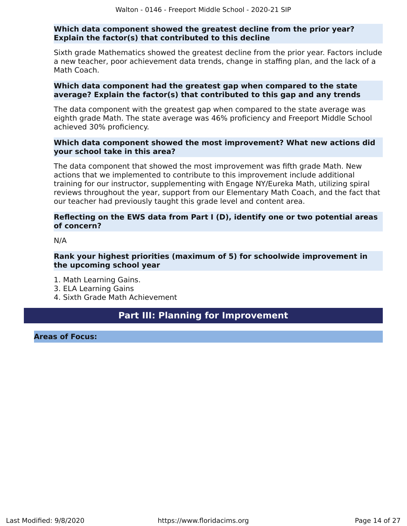#### **Which data component showed the greatest decline from the prior year? Explain the factor(s) that contributed to this decline**

Sixth grade Mathematics showed the greatest decline from the prior year. Factors include a new teacher, poor achievement data trends, change in staffing plan, and the lack of a Math Coach.

#### **Which data component had the greatest gap when compared to the state average? Explain the factor(s) that contributed to this gap and any trends**

The data component with the greatest gap when compared to the state average was eighth grade Math. The state average was 46% proficiency and Freeport Middle School achieved 30% proficiency.

#### **Which data component showed the most improvement? What new actions did your school take in this area?**

The data component that showed the most improvement was fifth grade Math. New actions that we implemented to contribute to this improvement include additional training for our instructor, supplementing with Engage NY/Eureka Math, utilizing spiral reviews throughout the year, support from our Elementary Math Coach, and the fact that our teacher had previously taught this grade level and content area.

#### **Reflecting on the EWS data from Part I (D), identify one or two potential areas of concern?**

N/A

#### **Rank your highest priorities (maximum of 5) for schoolwide improvement in the upcoming school year**

- 1. Math Learning Gains.
- 3. ELA Learning Gains
- 4. Sixth Grade Math Achievement

## **Part III: Planning for Improvement**

<span id="page-13-0"></span>**Areas of Focus:**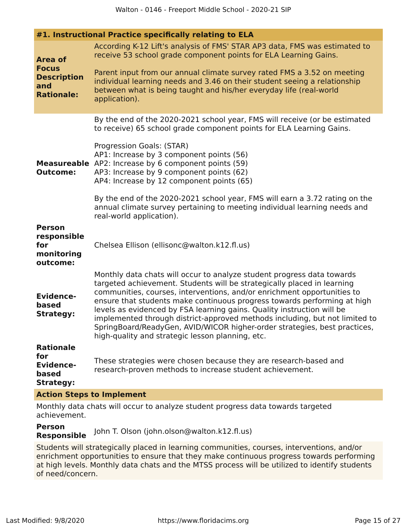| #1. Instructional Practice specifically relating to ELA                          |                                                                                                                                                                                                                                                                                                                                                                                                                                                                                                                                                                                                    |  |  |
|----------------------------------------------------------------------------------|----------------------------------------------------------------------------------------------------------------------------------------------------------------------------------------------------------------------------------------------------------------------------------------------------------------------------------------------------------------------------------------------------------------------------------------------------------------------------------------------------------------------------------------------------------------------------------------------------|--|--|
| <b>Area of</b><br><b>Focus</b><br><b>Description</b><br>and<br><b>Rationale:</b> | According K-12 Lift's analysis of FMS' STAR AP3 data, FMS was estimated to<br>receive 53 school grade component points for ELA Learning Gains.<br>Parent input from our annual climate survey rated FMS a 3.52 on meeting<br>individual learning needs and 3.46 on their student seeing a relationship<br>between what is being taught and his/her everyday life (real-world<br>application).                                                                                                                                                                                                      |  |  |
| <b>Outcome:</b>                                                                  | By the end of the 2020-2021 school year, FMS will receive (or be estimated<br>to receive) 65 school grade component points for ELA Learning Gains.<br>Progression Goals: (STAR)<br>AP1: Increase by 3 component points (56)<br><b>Measureable</b> AP2: Increase by 6 component points (59)<br>AP3: Increase by 9 component points (62)<br>AP4: Increase by 12 component points (65)<br>By the end of the 2020-2021 school year, FMS will earn a 3.72 rating on the<br>annual climate survey pertaining to meeting individual learning needs and<br>real-world application).                        |  |  |
| <b>Person</b><br>responsible<br>for<br>monitoring<br>outcome:                    | Chelsea Ellison (ellisonc@walton.k12.fl.us)                                                                                                                                                                                                                                                                                                                                                                                                                                                                                                                                                        |  |  |
| <b>Evidence-</b><br>based<br><b>Strategy:</b>                                    | Monthly data chats will occur to analyze student progress data towards<br>targeted achievement. Students will be strategically placed in learning<br>communities, courses, interventions, and/or enrichment opportunities to<br>ensure that students make continuous progress towards performing at high<br>levels as evidenced by FSA learning gains. Quality instruction will be<br>implemented through district-approved methods including, but not limited to<br>SpringBoard/ReadyGen, AVID/WICOR higher-order strategies, best practices,<br>high-quality and strategic lesson planning, etc. |  |  |
| <b>Rationale</b><br>for<br><b>Evidence-</b><br>based<br><b>Strategy:</b>         | These strategies were chosen because they are research-based and<br>research-proven methods to increase student achievement.                                                                                                                                                                                                                                                                                                                                                                                                                                                                       |  |  |
|                                                                                  | <b>Action Steps to Implement</b>                                                                                                                                                                                                                                                                                                                                                                                                                                                                                                                                                                   |  |  |
|                                                                                  |                                                                                                                                                                                                                                                                                                                                                                                                                                                                                                                                                                                                    |  |  |

Monthly data chats will occur to analyze student progress data towards targeted achievement.

**Person Responsible** John T. Olson (john.olson@walton.k12.fl.us)

Students will strategically placed in learning communities, courses, interventions, and/or enrichment opportunities to ensure that they make continuous progress towards performing at high levels. Monthly data chats and the MTSS process will be utilized to identify students of need/concern.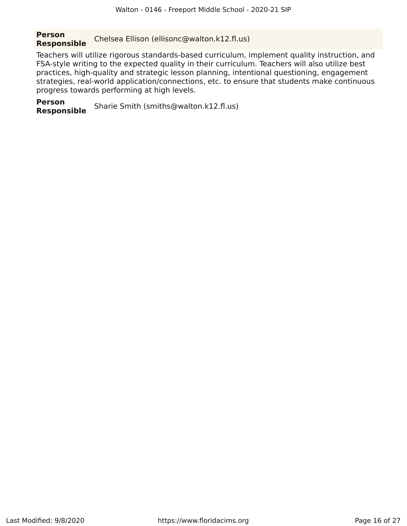**Person Responsible** Chelsea Ellison (ellisonc@walton.k12.fl.us)

Teachers will utilize rigorous standards-based curriculum, implement quality instruction, and FSA-style writing to the expected quality in their curriculum. Teachers will also utilize best practices, high-quality and strategic lesson planning, intentional questioning, engagement strategies, real-world application/connections, etc. to ensure that students make continuous progress towards performing at high levels.

**Person Responsible** Sharie Smith (smiths@walton.k12.fl.us)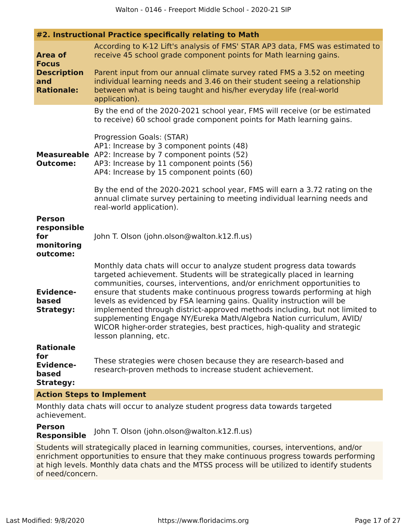|  | #2. Instructional Practice specifically relating to Math |  |  |  |  |
|--|----------------------------------------------------------|--|--|--|--|
|--|----------------------------------------------------------|--|--|--|--|

| <b>Area of</b><br><b>Focus</b><br><b>Description</b><br>and<br><b>Rationale:</b> | According to K-12 Lift's analysis of FMS' STAR AP3 data, FMS was estimated to<br>receive 45 school grade component points for Math learning gains.<br>Parent input from our annual climate survey rated FMS a 3.52 on meeting<br>individual learning needs and 3.46 on their student seeing a relationship<br>between what is being taught and his/her everyday life (real-world<br>application).                                                                                                                                                                                                                                               |
|----------------------------------------------------------------------------------|-------------------------------------------------------------------------------------------------------------------------------------------------------------------------------------------------------------------------------------------------------------------------------------------------------------------------------------------------------------------------------------------------------------------------------------------------------------------------------------------------------------------------------------------------------------------------------------------------------------------------------------------------|
|                                                                                  | By the end of the 2020-2021 school year, FMS will receive (or be estimated<br>to receive) 60 school grade component points for Math learning gains.<br>Progression Goals: (STAR)                                                                                                                                                                                                                                                                                                                                                                                                                                                                |
| <b>Outcome:</b>                                                                  | AP1: Increase by 3 component points (48)<br><b>Measureable</b> AP2: Increase by 7 component points (52)<br>AP3: Increase by 11 component points (56)<br>AP4: Increase by 15 component points (60)                                                                                                                                                                                                                                                                                                                                                                                                                                               |
|                                                                                  | By the end of the 2020-2021 school year, FMS will earn a 3.72 rating on the<br>annual climate survey pertaining to meeting individual learning needs and<br>real-world application).                                                                                                                                                                                                                                                                                                                                                                                                                                                            |
| <b>Person</b><br>responsible<br>for<br>monitoring<br>outcome:                    | John T. Olson (john.olson@walton.k12.fl.us)                                                                                                                                                                                                                                                                                                                                                                                                                                                                                                                                                                                                     |
| <b>Evidence-</b><br>based<br><b>Strategy:</b>                                    | Monthly data chats will occur to analyze student progress data towards<br>targeted achievement. Students will be strategically placed in learning<br>communities, courses, interventions, and/or enrichment opportunities to<br>ensure that students make continuous progress towards performing at high<br>levels as evidenced by FSA learning gains. Quality instruction will be<br>implemented through district-approved methods including, but not limited to<br>supplementing Engage NY/Eureka Math/Algebra Nation curriculum, AVID/<br>WICOR higher-order strategies, best practices, high-quality and strategic<br>lesson planning, etc. |
| <b>Rationale</b><br>for<br><b>Evidence-</b><br>based<br><b>Strategy:</b>         | These strategies were chosen because they are research-based and<br>research-proven methods to increase student achievement.                                                                                                                                                                                                                                                                                                                                                                                                                                                                                                                    |
| <b>Action Steps to Implement</b>                                                 |                                                                                                                                                                                                                                                                                                                                                                                                                                                                                                                                                                                                                                                 |

Monthly data chats will occur to analyze student progress data towards targeted achievement.

**Person Responsible** John T. Olson (john.olson@walton.k12.fl.us)

Students will strategically placed in learning communities, courses, interventions, and/or enrichment opportunities to ensure that they make continuous progress towards performing at high levels. Monthly data chats and the MTSS process will be utilized to identify students of need/concern.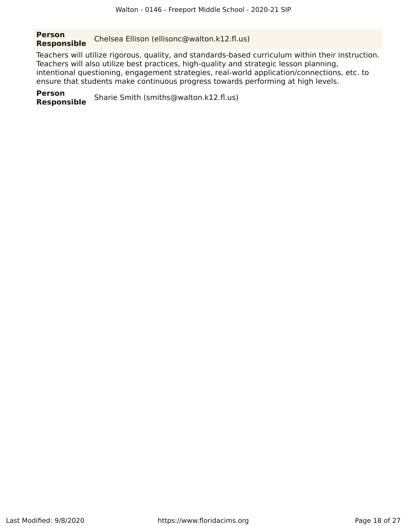#### **Person Responsible** Chelsea Ellison (ellisonc@walton.k12.fl.us)

Teachers will utilize rigorous, quality, and standards-based curriculum within their instruction. Teachers will also utilize best practices, high-quality and strategic lesson planning, intentional questioning, engagement strategies, real-world application/connections, etc. to ensure that students make continuous progress towards performing at high levels.

**Person Responsible** Sharie Smith (smiths@walton.k12.fl.us)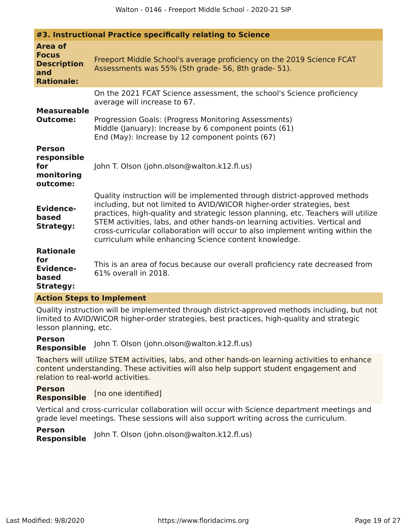| #3. Instructional Practice specifically relating to Science                      |                                                                                                                                                                                                                                                                                                                                                                                                                                                                    |  |
|----------------------------------------------------------------------------------|--------------------------------------------------------------------------------------------------------------------------------------------------------------------------------------------------------------------------------------------------------------------------------------------------------------------------------------------------------------------------------------------------------------------------------------------------------------------|--|
| <b>Area of</b><br><b>Focus</b><br><b>Description</b><br>and<br><b>Rationale:</b> | Freeport Middle School's average proficiency on the 2019 Science FCAT<br>Assessments was 55% (5th grade- 56, 8th grade- 51).                                                                                                                                                                                                                                                                                                                                       |  |
| <b>Measureable</b><br><b>Outcome:</b>                                            | On the 2021 FCAT Science assessment, the school's Science proficiency<br>average will increase to 67.<br>Progression Goals: (Progress Monitoring Assessments)<br>Middle (January): Increase by 6 component points (61)<br>End (May): Increase by 12 component points (67)                                                                                                                                                                                          |  |
| <b>Person</b><br>responsible<br>for<br>monitoring<br>outcome:                    | John T. Olson (john.olson@walton.k12.fl.us)                                                                                                                                                                                                                                                                                                                                                                                                                        |  |
| <b>Evidence-</b><br>based<br><b>Strategy:</b>                                    | Quality instruction will be implemented through district-approved methods<br>including, but not limited to AVID/WICOR higher-order strategies, best<br>practices, high-quality and strategic lesson planning, etc. Teachers will utilize<br>STEM activities, labs, and other hands-on learning activities. Vertical and<br>cross-curricular collaboration will occur to also implement writing within the<br>curriculum while enhancing Science content knowledge. |  |
| <b>Rationale</b><br>for<br><b>Evidence-</b><br>based<br><b>Strategy:</b>         | This is an area of focus because our overall proficiency rate decreased from<br>61% overall in 2018.<br>Astron Channels Incubenced the                                                                                                                                                                                                                                                                                                                             |  |

**Action Steps to Implement**

Quality instruction will be implemented through district-approved methods including, but not limited to AVID/WICOR higher-order strategies, best practices, high-quality and strategic lesson planning, etc.

**Person Responsible** John T. Olson (john.olson@walton.k12.fl.us)

Teachers will utilize STEM activities, labs, and other hands-on learning activities to enhance content understanding. These activities will also help support student engagement and relation to real-world activities.

**Person Responsible** [no one identified]

Vertical and cross-curricular collaboration will occur with Science department meetings and grade level meetings. These sessions will also support writing across the curriculum.

**Person Responsible** John T. Olson (john.olson@walton.k12.fl.us)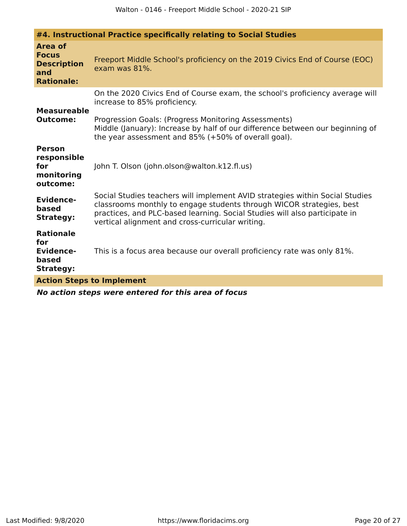| #4. Instructional Practice specifically relating to Social Studies               |                                                                                                                                                                                                                                                                                                              |  |
|----------------------------------------------------------------------------------|--------------------------------------------------------------------------------------------------------------------------------------------------------------------------------------------------------------------------------------------------------------------------------------------------------------|--|
| <b>Area of</b><br><b>Focus</b><br><b>Description</b><br>and<br><b>Rationale:</b> | Freeport Middle School's proficiency on the 2019 Civics End of Course (EOC)<br>exam was 81%.                                                                                                                                                                                                                 |  |
| <b>Measureable</b><br><b>Outcome:</b>                                            | On the 2020 Civics End of Course exam, the school's proficiency average will<br>increase to 85% proficiency.<br>Progression Goals: (Progress Monitoring Assessments)<br>Middle (January): Increase by half of our difference between our beginning of<br>the year assessment and 85% (+50% of overall goal). |  |
| <b>Person</b><br>responsible<br>for<br>monitoring<br>outcome:                    | John T. Olson (john.olson@walton.k12.fl.us)                                                                                                                                                                                                                                                                  |  |
| <b>Evidence-</b><br>based<br><b>Strategy:</b>                                    | Social Studies teachers will implement AVID strategies within Social Studies<br>classrooms monthly to engage students through WICOR strategies, best<br>practices, and PLC-based learning. Social Studies will also participate in<br>vertical alignment and cross-curricular writing.                       |  |
| <b>Rationale</b><br>for<br><b>Evidence-</b><br>based<br><b>Strategy:</b>         | This is a focus area because our overall proficiency rate was only 81%.                                                                                                                                                                                                                                      |  |
| <b>Action Steps to Implement</b>                                                 |                                                                                                                                                                                                                                                                                                              |  |
|                                                                                  |                                                                                                                                                                                                                                                                                                              |  |

**No action steps were entered for this area of focus**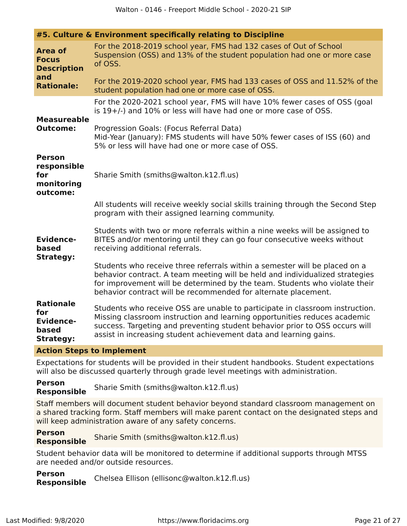|                                                                          | #5. Culture & Environment specifically relating to Discipline                                                                                                                                                                                                                                                 |
|--------------------------------------------------------------------------|---------------------------------------------------------------------------------------------------------------------------------------------------------------------------------------------------------------------------------------------------------------------------------------------------------------|
| <b>Area of</b><br><b>Focus</b><br><b>Description</b><br>and              | For the 2018-2019 school year, FMS had 132 cases of Out of School<br>Suspension (OSS) and 13% of the student population had one or more case<br>of OSS.                                                                                                                                                       |
| <b>Rationale:</b>                                                        | For the 2019-2020 school year, FMS had 133 cases of OSS and 11.52% of the<br>student population had one or more case of OSS.                                                                                                                                                                                  |
|                                                                          | For the 2020-2021 school year, FMS will have 10% fewer cases of OSS (goal<br>is 19+/-) and 10% or less will have had one or more case of OSS.                                                                                                                                                                 |
| <b>Measureable</b><br><b>Outcome:</b>                                    | Progression Goals: (Focus Referral Data)<br>Mid-Year (January): FMS students will have 50% fewer cases of ISS (60) and<br>5% or less will have had one or more case of OSS.                                                                                                                                   |
| <b>Person</b><br>responsible<br>for<br>monitoring<br>outcome:            | Sharie Smith (smiths@walton.k12.fl.us)                                                                                                                                                                                                                                                                        |
|                                                                          | All students will receive weekly social skills training through the Second Step<br>program with their assigned learning community.                                                                                                                                                                            |
| <b>Evidence-</b><br>based                                                | Students with two or more referrals within a nine weeks will be assigned to<br>BITES and/or mentoring until they can go four consecutive weeks without<br>receiving additional referrals.                                                                                                                     |
| <b>Strategy:</b>                                                         | Students who receive three referrals within a semester will be placed on a<br>behavior contract. A team meeting will be held and individualized strategies<br>for improvement will be determined by the team. Students who violate their<br>behavior contract will be recommended for alternate placement.    |
| <b>Rationale</b><br>for<br><b>Evidence-</b><br>based<br><b>Strategy:</b> | Students who receive OSS are unable to participate in classroom instruction.<br>Missing classroom instruction and learning opportunities reduces academic<br>success. Targeting and preventing student behavior prior to OSS occurs will<br>assist in increasing student achievement data and learning gains. |
| <b>Action Steps to Implement</b>                                         |                                                                                                                                                                                                                                                                                                               |

Expectations for students will be provided in their student handbooks. Student expectations will also be discussed quarterly through grade level meetings with administration.

**Person Responsible** Sharie Smith (smiths@walton.k12.fl.us)

Staff members will document student behavior beyond standard classroom management on a shared tracking form. Staff members will make parent contact on the designated steps and will keep administration aware of any safety concerns.

**Person Responsible** Sharie Smith (smiths@walton.k12.fl.us)

Student behavior data will be monitored to determine if additional supports through MTSS are needed and/or outside resources.

**Person Responsible** Chelsea Ellison (ellisonc@walton.k12.fl.us)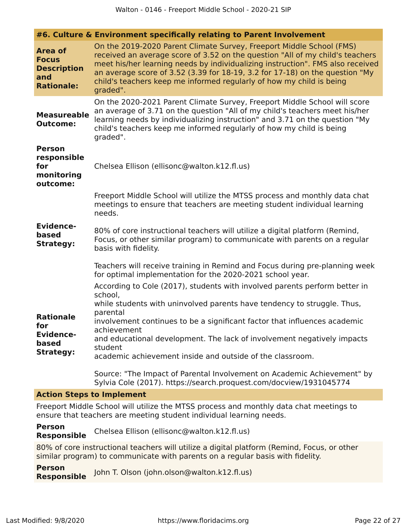|                                                                                  | #6. Culture & Environment specifically relating to Parent Involvement                                                                                                                                                                                                                                                                                                                                                       |
|----------------------------------------------------------------------------------|-----------------------------------------------------------------------------------------------------------------------------------------------------------------------------------------------------------------------------------------------------------------------------------------------------------------------------------------------------------------------------------------------------------------------------|
| <b>Area of</b><br><b>Focus</b><br><b>Description</b><br>and<br><b>Rationale:</b> | On the 2019-2020 Parent Climate Survey, Freeport Middle School (FMS)<br>received an average score of 3.52 on the question "All of my child's teachers<br>meet his/her learning needs by individualizing instruction". FMS also received<br>an average score of 3.52 (3.39 for $18-19$ , 3.2 for $17-18$ ) on the question "My<br>child's teachers keep me informed regularly of how my child is being<br>graded".           |
| <b>Measureable</b><br><b>Outcome:</b>                                            | On the 2020-2021 Parent Climate Survey, Freeport Middle School will score<br>an average of 3.71 on the question "All of my child's teachers meet his/her<br>learning needs by individualizing instruction" and 3.71 on the question "My<br>child's teachers keep me informed regularly of how my child is being<br>graded".                                                                                                 |
| <b>Person</b><br>responsible<br>for<br>monitoring<br>outcome:                    | Chelsea Ellison (ellisonc@walton.k12.fl.us)                                                                                                                                                                                                                                                                                                                                                                                 |
|                                                                                  | Freeport Middle School will utilize the MTSS process and monthly data chat<br>meetings to ensure that teachers are meeting student individual learning<br>needs.                                                                                                                                                                                                                                                            |
| <b>Evidence-</b><br>based<br><b>Strategy:</b>                                    | 80% of core instructional teachers will utilize a digital platform (Remind,<br>Focus, or other similar program) to communicate with parents on a regular<br>basis with fidelity.                                                                                                                                                                                                                                            |
|                                                                                  | Teachers will receive training in Remind and Focus during pre-planning week<br>for optimal implementation for the 2020-2021 school year.                                                                                                                                                                                                                                                                                    |
| <b>Rationale</b><br>for<br><b>Evidence-</b><br>based<br><b>Strategy:</b>         | According to Cole (2017), students with involved parents perform better in<br>school,<br>while students with uninvolved parents have tendency to struggle. Thus,<br>parental<br>involvement continues to be a significant factor that influences academic<br>achievement<br>and educational development. The lack of involvement negatively impacts<br>student<br>academic achievement inside and outside of the classroom. |
|                                                                                  | Source: "The Impact of Parental Involvement on Academic Achievement" by<br>Sylvia Cole (2017). https://search.proquest.com/docview/1931045774                                                                                                                                                                                                                                                                               |

#### **Action Steps to Implement**

Freeport Middle School will utilize the MTSS process and monthly data chat meetings to ensure that teachers are meeting student individual learning needs.

**Person Responsible** Chelsea Ellison (ellisonc@walton.k12.fl.us)

80% of core instructional teachers will utilize a digital platform (Remind, Focus, or other similar program) to communicate with parents on a regular basis with fidelity.

**Person Responsible** John T. Olson (john.olson@walton.k12.fl.us)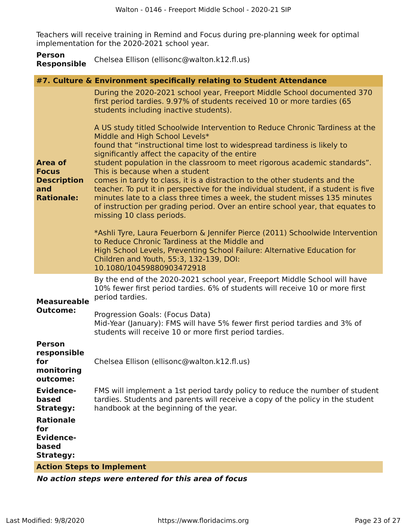Teachers will receive training in Remind and Focus during pre-planning week for optimal implementation for the 2020-2021 school year.

| <b>Person</b>      | Chelsea Ellison (ellisonc@walton.k12.fl.us) |
|--------------------|---------------------------------------------|
| <b>Responsible</b> |                                             |

|                                                                                  | #7. Culture & Environment specifically relating to Student Attendance                                                                                                                                                                                                                                                                                                                                                                                                                                                                                                                                                                                                                                                                                                                                          |
|----------------------------------------------------------------------------------|----------------------------------------------------------------------------------------------------------------------------------------------------------------------------------------------------------------------------------------------------------------------------------------------------------------------------------------------------------------------------------------------------------------------------------------------------------------------------------------------------------------------------------------------------------------------------------------------------------------------------------------------------------------------------------------------------------------------------------------------------------------------------------------------------------------|
| <b>Area of</b><br><b>Focus</b><br><b>Description</b><br>and<br><b>Rationale:</b> | During the 2020-2021 school year, Freeport Middle School documented 370<br>first period tardies. 9.97% of students received 10 or more tardies (65<br>students including inactive students).                                                                                                                                                                                                                                                                                                                                                                                                                                                                                                                                                                                                                   |
|                                                                                  | A US study titled Schoolwide Intervention to Reduce Chronic Tardiness at the<br>Middle and High School Levels*<br>found that "instructional time lost to widespread tardiness is likely to<br>significantly affect the capacity of the entire<br>student population in the classroom to meet rigorous academic standards".<br>This is because when a student<br>comes in tardy to class, it is a distraction to the other students and the<br>teacher. To put it in perspective for the individual student, if a student is five<br>minutes late to a class three times a week, the student misses 135 minutes<br>of instruction per grading period. Over an entire school year, that equates to<br>missing 10 class periods.<br>*Ashli Tyre, Laura Feuerborn & Jennifer Pierce (2011) Schoolwide Intervention |
|                                                                                  | to Reduce Chronic Tardiness at the Middle and<br>High School Levels, Preventing School Failure: Alternative Education for<br>Children and Youth, 55:3, 132-139, DOI:<br>10.1080/10459880903472918                                                                                                                                                                                                                                                                                                                                                                                                                                                                                                                                                                                                              |
| <b>Measureable</b><br><b>Outcome:</b>                                            | By the end of the 2020-2021 school year, Freeport Middle School will have<br>10% fewer first period tardies. 6% of students will receive 10 or more first<br>period tardies.                                                                                                                                                                                                                                                                                                                                                                                                                                                                                                                                                                                                                                   |
|                                                                                  | Progression Goals: (Focus Data)<br>Mid-Year (January): FMS will have 5% fewer first period tardies and 3% of<br>students will receive 10 or more first period tardies.                                                                                                                                                                                                                                                                                                                                                                                                                                                                                                                                                                                                                                         |
| <b>Person</b><br>responsible<br>for<br>monitoring<br>outcome:                    | Chelsea Ellison (ellisonc@walton.k12.fl.us)                                                                                                                                                                                                                                                                                                                                                                                                                                                                                                                                                                                                                                                                                                                                                                    |
| <b>Evidence-</b><br>based<br><b>Strategy:</b>                                    | FMS will implement a 1st period tardy policy to reduce the number of student<br>tardies. Students and parents will receive a copy of the policy in the student<br>handbook at the beginning of the year.                                                                                                                                                                                                                                                                                                                                                                                                                                                                                                                                                                                                       |
| <b>Rationale</b><br>for<br><b>Evidence-</b><br>based<br><b>Strategy:</b>         |                                                                                                                                                                                                                                                                                                                                                                                                                                                                                                                                                                                                                                                                                                                                                                                                                |
| <b>Action Steps to Implement</b>                                                 |                                                                                                                                                                                                                                                                                                                                                                                                                                                                                                                                                                                                                                                                                                                                                                                                                |
|                                                                                  |                                                                                                                                                                                                                                                                                                                                                                                                                                                                                                                                                                                                                                                                                                                                                                                                                |

**No action steps were entered for this area of focus**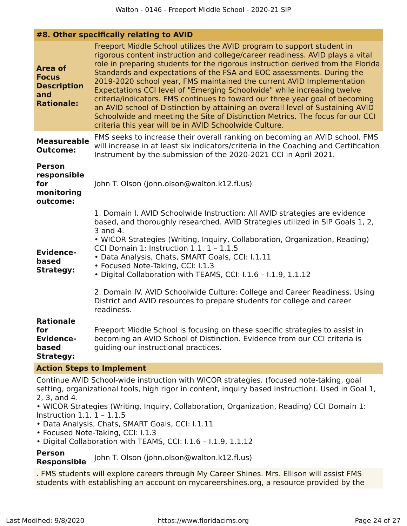#### **#8. Other specifically relating to AVID**

| <b>Area of</b><br><b>Focus</b><br><b>Description</b><br>and<br><b>Rationale:</b> | Freeport Middle School utilizes the AVID program to support student in<br>rigorous content instruction and college/career readiness. AVID plays a vital<br>role in preparing students for the rigorous instruction derived from the Florida<br>Standards and expectations of the FSA and EOC assessments. During the<br>2019-2020 school year, FMS maintained the current AVID Implementation<br>Expectations CCI level of "Emerging Schoolwide" while increasing twelve<br>criteria/indicators. FMS continues to toward our three year goal of becoming<br>an AVID school of Distinction by attaining an overall level of Sustaining AVID<br>Schoolwide and meeting the Site of Distinction Metrics. The focus for our CCI<br>criteria this year will be in AVID Schoolwide Culture. |  |  |  |
|----------------------------------------------------------------------------------|---------------------------------------------------------------------------------------------------------------------------------------------------------------------------------------------------------------------------------------------------------------------------------------------------------------------------------------------------------------------------------------------------------------------------------------------------------------------------------------------------------------------------------------------------------------------------------------------------------------------------------------------------------------------------------------------------------------------------------------------------------------------------------------|--|--|--|
| <b>Measureable</b><br><b>Outcome:</b>                                            | FMS seeks to increase their overall ranking on becoming an AVID school. FMS<br>will increase in at least six indicators/criteria in the Coaching and Certification<br>Instrument by the submission of the 2020-2021 CCI in April 2021.                                                                                                                                                                                                                                                                                                                                                                                                                                                                                                                                                |  |  |  |
| <b>Person</b><br>responsible<br>for<br>monitoring<br>outcome:                    | John T. Olson (john.olson@walton.k12.fl.us)                                                                                                                                                                                                                                                                                                                                                                                                                                                                                                                                                                                                                                                                                                                                           |  |  |  |
| <b>Evidence-</b><br>based<br><b>Strategy:</b>                                    | 1. Domain I. AVID Schoolwide Instruction: All AVID strategies are evidence<br>based, and thoroughly researched. AVID Strategies utilized in SIP Goals 1, 2,<br>3 and 4.<br>• WICOR Strategies (Writing, Inquiry, Collaboration, Organization, Reading)<br>CCI Domain 1: Instruction 1.1. 1 - 1.1.5<br>· Data Analysis, Chats, SMART Goals, CCI: I.1.11<br>• Focused Note-Taking, CCI: I.1.3<br>. Digital Collaboration with TEAMS, CCI: I.1.6 - I.1.9, 1.1.12<br>2. Domain IV. AVID Schoolwide Culture: College and Career Readiness. Using<br>District and AVID resources to prepare students for college and career                                                                                                                                                                 |  |  |  |
| <b>Rationale</b><br>for<br><b>Evidence-</b><br>based<br><b>Strategy:</b>         | readiness.<br>Freeport Middle School is focusing on these specific strategies to assist in<br>becoming an AVID School of Distinction. Evidence from our CCI criteria is<br>guiding our instructional practices.                                                                                                                                                                                                                                                                                                                                                                                                                                                                                                                                                                       |  |  |  |

#### **Action Steps to Implement**

Continue AVID School-wide instruction with WICOR strategies. (focused note-taking, goal setting, organizational tools, high rigor in content, inquiry based instruction). Used in Goal 1, 2, 3, and 4.

• WICOR Strategies (Writing, Inquiry, Collaboration, Organization, Reading) CCI Domain 1: Instruction 1.1. 1 – 1.1.5

- Data Analysis, Chats, SMART Goals, CCI: I.1.11
- Focused Note-Taking, CCI: I.1.3
- Digital Collaboration with TEAMS, CCI: I.1.6 I.1.9, 1.1.12

## **Person Responsible** John T. Olson (john.olson@walton.k12.fl.us)

. FMS students will explore careers through My Career Shines. Mrs. Ellison will assist FMS students with establishing an account on mycareershines.org, a resource provided by the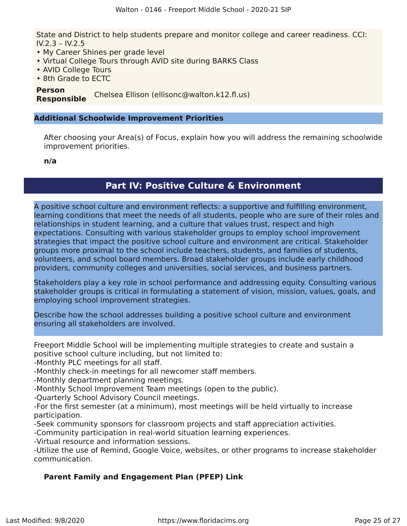State and District to help students prepare and monitor college and career readiness. CCI: IV.2.3 – IV.2.5

- My Career Shines per grade level
- Virtual College Tours through AVID site during BARKS Class
- AVID College Tours
- 8th Grade to ECTC

#### **Person**

**Responsible** Chelsea Ellison (ellisonc@walton.k12.fl.us)

#### **Additional Schoolwide Improvement Priorities**

After choosing your Area(s) of Focus, explain how you will address the remaining schoolwide improvement priorities.

**n/a**

### **Part IV: Positive Culture & Environment**

<span id="page-24-0"></span>A positive school culture and environment reflects: a supportive and fulfilling environment, learning conditions that meet the needs of all students, people who are sure of their roles and relationships in student learning, and a culture that values trust, respect and high expectations. Consulting with various stakeholder groups to employ school improvement strategies that impact the positive school culture and environment are critical. Stakeholder groups more proximal to the school include teachers, students, and families of students, volunteers, and school board members. Broad stakeholder groups include early childhood providers, community colleges and universities, social services, and business partners.

Stakeholders play a key role in school performance and addressing equity. Consulting various stakeholder groups is critical in formulating a statement of vision, mission, values, goals, and employing school improvement strategies.

Describe how the school addresses building a positive school culture and environment ensuring all stakeholders are involved.

Freeport Middle School will be implementing multiple strategies to create and sustain a positive school culture including, but not limited to:

-Monthly PLC meetings for all staff.

-Monthly check-in meetings for all newcomer staff members.

-Monthly department planning meetings.

-Monthly School Improvement Team meetings (open to the public).

-Quarterly School Advisory Council meetings.

-For the first semester (at a minimum), most meetings will be held virtually to increase participation.

-Seek community sponsors for classroom projects and staff appreciation activities.

-Community participation in real-world situation learning experiences.

-Virtual resource and information sessions.

-Utilize the use of Remind, Google Voice, websites, or other programs to increase stakeholder communication.

#### **Parent Family and Engagement Plan (PFEP) Link**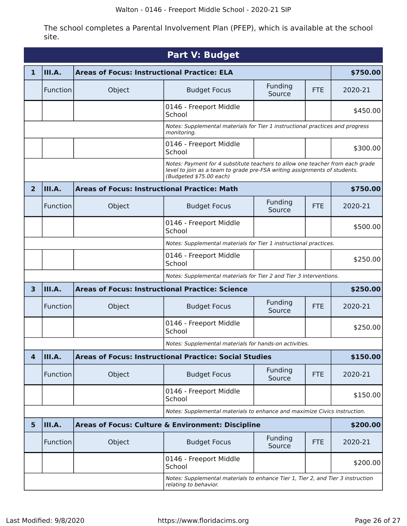The school completes a Parental Involvement Plan (PFEP), which is available at the school site.

<span id="page-25-0"></span>

| <b>Part V: Budget</b>                                                                                                                                                                 |                                                                                                          |                                                                           |                                                               |                   |            |          |  |  |  |
|---------------------------------------------------------------------------------------------------------------------------------------------------------------------------------------|----------------------------------------------------------------------------------------------------------|---------------------------------------------------------------------------|---------------------------------------------------------------|-------------------|------------|----------|--|--|--|
| 1                                                                                                                                                                                     | III.A.                                                                                                   | <b>Areas of Focus: Instructional Practice: ELA</b>                        | \$750.00                                                      |                   |            |          |  |  |  |
|                                                                                                                                                                                       | Function                                                                                                 | Object                                                                    | <b>Budget Focus</b>                                           | Funding<br>Source | <b>FTE</b> | 2020-21  |  |  |  |
|                                                                                                                                                                                       |                                                                                                          |                                                                           | 0146 - Freeport Middle<br>School                              |                   |            | \$450.00 |  |  |  |
|                                                                                                                                                                                       | Notes: Supplemental materials for Tier 1 instructional practices and progress<br>monitoring.             |                                                                           |                                                               |                   |            |          |  |  |  |
|                                                                                                                                                                                       |                                                                                                          |                                                                           | 0146 - Freeport Middle<br>School                              |                   |            | \$300.00 |  |  |  |
| Notes: Payment for 4 substitute teachers to allow one teacher from each grade<br>level to join as a team to grade pre-FSA writing assignments of students.<br>(Budgeted \$75.00 each) |                                                                                                          |                                                                           |                                                               |                   |            |          |  |  |  |
| $\overline{2}$                                                                                                                                                                        | III.A.                                                                                                   | <b>Areas of Focus: Instructional Practice: Math</b>                       |                                                               |                   |            | \$750.00 |  |  |  |
|                                                                                                                                                                                       | Function                                                                                                 | Object                                                                    | <b>Budget Focus</b>                                           | Funding<br>Source | <b>FTE</b> | 2020-21  |  |  |  |
|                                                                                                                                                                                       |                                                                                                          |                                                                           | 0146 - Freeport Middle<br>School                              |                   |            | \$500.00 |  |  |  |
|                                                                                                                                                                                       | Notes: Supplemental materials for Tier 1 instructional practices.                                        |                                                                           |                                                               |                   |            |          |  |  |  |
|                                                                                                                                                                                       |                                                                                                          |                                                                           | 0146 - Freeport Middle<br>School                              |                   |            | \$250.00 |  |  |  |
|                                                                                                                                                                                       | Notes: Supplemental materials for Tier 2 and Tier 3 interventions.                                       |                                                                           |                                                               |                   |            |          |  |  |  |
| $\overline{\mathbf{3}}$                                                                                                                                                               | III.A.                                                                                                   | <b>Areas of Focus: Instructional Practice: Science</b>                    |                                                               | \$250.00          |            |          |  |  |  |
|                                                                                                                                                                                       | Function                                                                                                 | Object                                                                    | <b>Budget Focus</b>                                           | Funding<br>Source | <b>FTE</b> | 2020-21  |  |  |  |
|                                                                                                                                                                                       |                                                                                                          |                                                                           | 0146 - Freeport Middle<br>School                              |                   |            | \$250.00 |  |  |  |
|                                                                                                                                                                                       |                                                                                                          | Notes: Supplemental materials for hands-on activities.                    |                                                               |                   |            |          |  |  |  |
| $\overline{\mathbf{4}}$                                                                                                                                                               | III.A.                                                                                                   |                                                                           | <b>Areas of Focus: Instructional Practice: Social Studies</b> |                   |            | \$150.00 |  |  |  |
|                                                                                                                                                                                       | Function                                                                                                 | Object                                                                    | <b>Budget Focus</b>                                           | Funding<br>Source | <b>FTE</b> | 2020-21  |  |  |  |
|                                                                                                                                                                                       |                                                                                                          |                                                                           | 0146 - Freeport Middle<br>School                              |                   |            | \$150.00 |  |  |  |
|                                                                                                                                                                                       |                                                                                                          | Notes: Supplemental materials to enhance and maximize Civics instruction. |                                                               |                   |            |          |  |  |  |
| 5                                                                                                                                                                                     | III.A.                                                                                                   |                                                                           | Areas of Focus: Culture & Environment: Discipline             |                   |            | \$200.00 |  |  |  |
|                                                                                                                                                                                       | Function                                                                                                 | Object                                                                    | <b>Budget Focus</b>                                           | Funding<br>Source | <b>FTE</b> | 2020-21  |  |  |  |
|                                                                                                                                                                                       |                                                                                                          |                                                                           | 0146 - Freeport Middle<br>School                              |                   |            | \$200.00 |  |  |  |
|                                                                                                                                                                                       | Notes: Supplemental materials to enhance Tier 1, Tier 2, and Tier 3 instruction<br>relating to behavior. |                                                                           |                                                               |                   |            |          |  |  |  |